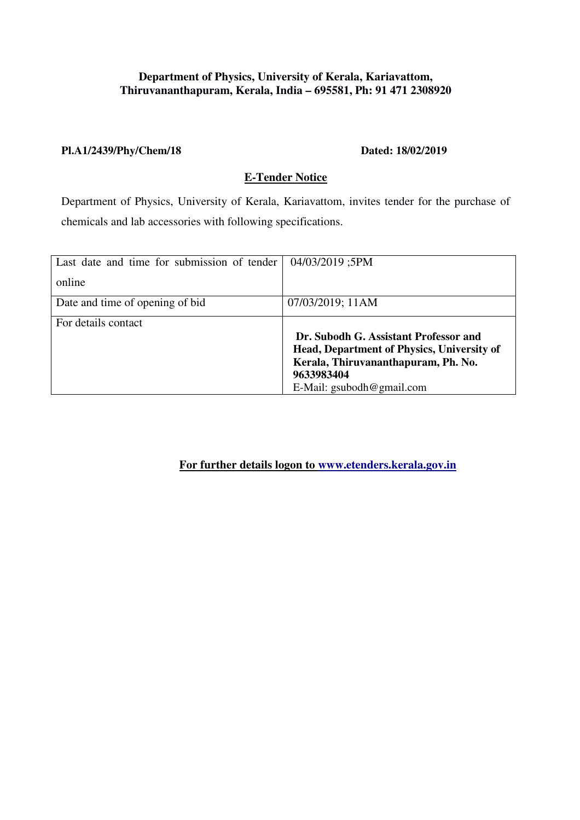### **Department of Physics, University of Kerala, Kariavattom, Thiruvananthapuram, Kerala, India – 695581, Ph: 91 471 2308920**

#### **Pl.A1/2439/Phy/Chem/18 Dated: 18/02/2019**

## **E-Tender Notice**

Department of Physics, University of Kerala, Kariavattom, invites tender for the purchase of chemicals and lab accessories with following specifications.

| Last date and time for submission of tender | 04/03/2019;5PM                                                                           |
|---------------------------------------------|------------------------------------------------------------------------------------------|
| online                                      |                                                                                          |
| Date and time of opening of bid             | 07/03/2019; 11AM                                                                         |
| For details contact                         |                                                                                          |
|                                             | Dr. Subodh G. Assistant Professor and                                                    |
|                                             | <b>Head, Department of Physics, University of</b><br>Kerala, Thiruvananthapuram, Ph. No. |
|                                             | 9633983404                                                                               |
|                                             | E-Mail: $\text{gsubodh@gmail.com}$                                                       |

**For further details logon to www.etenders.kerala.gov.in**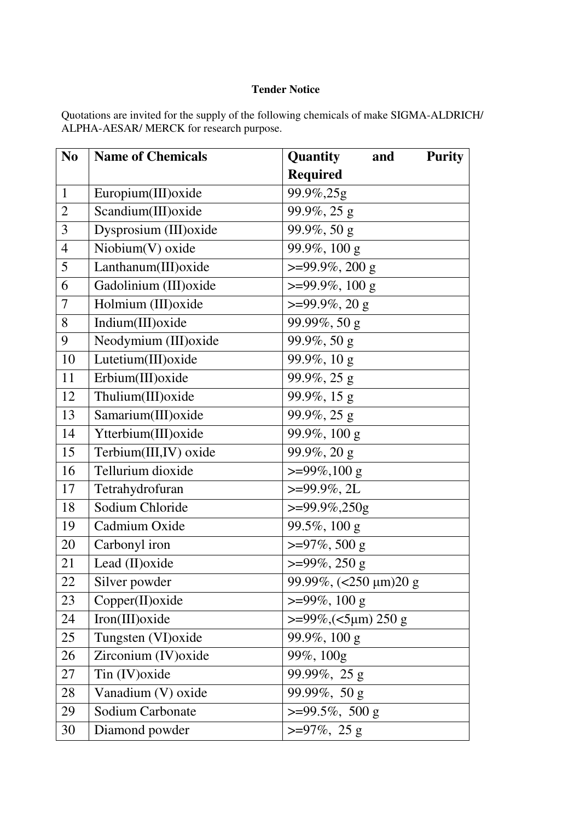## **Tender Notice**

Quotations are invited for the supply of the following chemicals of make SIGMA-ALDRICH/ ALPHA-AESAR/ MERCK for research purpose.

| N <sub>0</sub> | <b>Name of Chemicals</b> | Quantity<br><b>Purity</b><br>and |
|----------------|--------------------------|----------------------------------|
|                |                          | <b>Required</b>                  |
| $\mathbf{1}$   | Europium(III) oxide      | 99.9%,25g                        |
| $\overline{2}$ | Scandium(III) oxide      | 99.9%, 25 g                      |
| $\overline{3}$ | Dysprosium (III) oxide   | 99.9%, 50 g                      |
| $\overline{4}$ | $Niobium(V)$ oxide       | 99.9%, 100 g                     |
| 5              | Lanthanum(III) oxide     | $>=99.9\%, 200 \text{ g}$        |
| 6              | Gadolinium (III) oxide   | $>=99.9\%, 100 \text{ g}$        |
| $\overline{7}$ | Holmium (III) oxide      | $>=99.9\%, 20 \text{ g}$         |
| 8              | Indium(III) oxide        | 99.99%, 50 g                     |
| 9              | Neodymium (III) oxide    | 99.9%, 50 g                      |
| 10             | Lutetium(III) oxide      | 99.9%, 10 g                      |
| 11             | Erbium(III) oxide        | 99.9%, 25 g                      |
| 12             | Thulium(III) oxide       | 99.9%, 15 g                      |
| 13             | Samarium(III) oxide      | 99.9%, 25 g                      |
| 14             | Ytterbium(III) oxide     | 99.9%, 100 g                     |
| 15             | Terbium(III,IV) oxide    | 99.9%, 20 g                      |
| 16             | Tellurium dioxide        | $>=99\%, 100 \text{ g}$          |
| 17             | Tetrahydrofuran          | $>=99.9\%, 2L$                   |
| 18             | Sodium Chloride          | $>=99.9\%, 250g$                 |
| 19             | Cadmium Oxide            | 99.5%, $100 \text{ g}$           |
| 20             | Carbonyl iron            | $>=97\%, 500 g$                  |
| 21             | Lead (II) oxide          | $>=99\%, 250 g$                  |
| 22             | Silver powder            | 99.99%, (<250 µm)20 g            |
| 23             | Copper(II) oxide         | $>=99\%, 100 \text{ g}$          |
| 24             | Iron(III) oxide          | $>=99\%$ , $(<5 \mu m) 250 g$    |
| 25             | Tungsten (VI) oxide      | $99.9\%, 100 \text{ g}$          |
| 26             | Zirconium (IV) oxide     | 99%, 100g                        |
| 27             | Tin (IV) oxide           | 99.99%, 25 g                     |
| 28             | Vanadium (V) oxide       | 99.99%, 50 g                     |
| 29             | Sodium Carbonate         | $>=99.5\%, 500 \text{ g}$        |
| 30             | Diamond powder           | $>=97\%, 25 g$                   |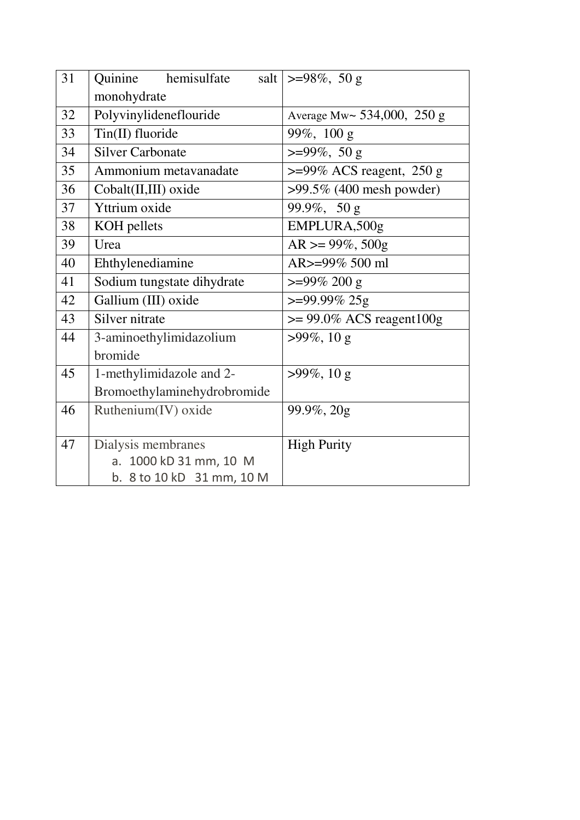| 31 | Quinine<br>hemisulfate                | salt   >=98\%, 50 g              |
|----|---------------------------------------|----------------------------------|
|    | monohydrate                           |                                  |
| 32 | Polyvinylideneflouride                | Average Mw $\sim$ 534,000, 250 g |
| 33 | Tin(II) fluoride                      | 99%, 100 g                       |
| 34 | <b>Silver Carbonate</b>               | $>=99\%, 50 g$                   |
| 35 | Ammonium metavanadate                 | $>=$ 99% ACS reagent, 250 g      |
| 36 | Cobalt(II,III) oxide                  | $>99.5\%$ (400 mesh powder)      |
| 37 | Yttrium oxide                         | 99.9%, 50 g                      |
| 38 | KOH pellets                           | EMPLURA,500g                     |
| 39 | Urea                                  | $AR \ge 99\%, 500g$              |
| 40 | Ehthylenediamine                      | AR>=99% 500 ml                   |
| 41 | Sodium tungstate dihydrate            | $>=99\% 200 g$                   |
| 42 | Gallium (III) oxide                   | $>=99.99\% 25g$                  |
| 43 | Silver nitrate                        | $\ge$ 99.0% ACS reagent100g      |
| 44 | 3-aminoethylimidazolium               | $>99\%, 10 g$                    |
|    | bromide                               |                                  |
| 45 | 1-methylimidazole and 2-              | $>99\%, 10 g$                    |
|    | Bromoethylaminehydrobromide           |                                  |
| 46 | Ruthenium(IV) oxide                   | 99.9%, 20g                       |
|    |                                       |                                  |
| 47 | Dialysis membranes                    | <b>High Purity</b>               |
|    | 1000 kD 31 mm, 10 M<br>a <sub>r</sub> |                                  |
|    | b. 8 to 10 kD 31 mm, 10 M             |                                  |